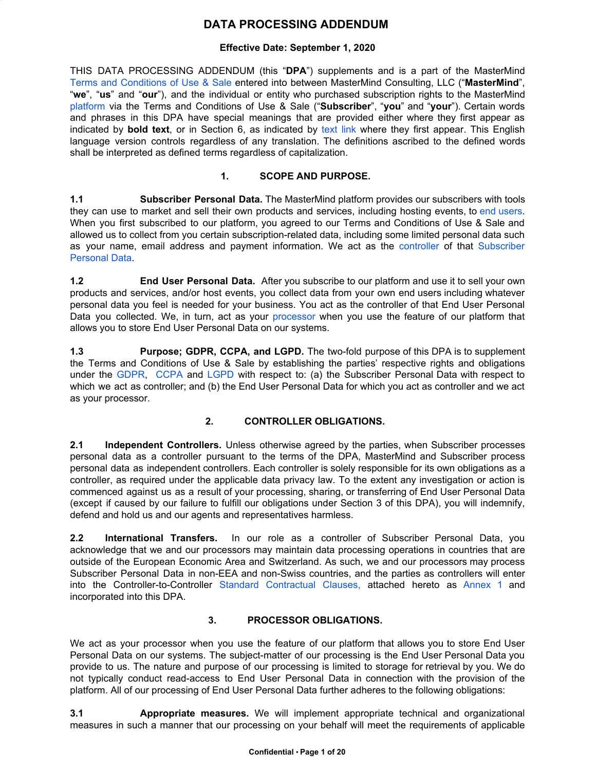# **DATA PROCESSING ADDENDUM**

## <span id="page-0-0"></span>**Effective Date: September 1, 2020**

THIS DATA PROCESSING ADDENDUM (this "**DPA**") supplements and is a part of the MasterMind Terms and [Conditions](#page-3-0) of Use & Sale entered into between MasterMind Consulting, LLC ("**MasterMind**", "**we**", "**us**" and "**our**"), and the individual or entity who purchased subscription rights to the MasterMind [platform](#page-2-0) via the Terms and Conditions of Use & Sale ("**Subscriber**", "**you**" and "**your**"). Certain words and phrases in this DPA have special meanings that are provided either where they first appear as indicated by **bold text**, or in Section 6, as indicated by [text](#page-2-1) link where they first appear. This English language version controls regardless of any translation. The definitions ascribed to the defined words shall be interpreted as defined terms regardless of capitalization.

## **1. SCOPE AND PURPOSE.**

<span id="page-0-1"></span>**1.1 Subscriber Personal Data.** The MasterMind platform provides our subscribers with tools they can use to market and sell their own products and services, including hosting events, to end [users.](#page-2-2) When you first subscribed to our platform, you agreed to our Terms and Conditions of Use & Sale and allowed us to collect from you certain subscription-related data, including some limited personal data such as your name, email address and payment information. We act as the [controller](#page-2-3) of that [Subscriber](#page-2-4) [Personal](#page-2-4) Data.

**1.2 End User Personal Data.** After you subscribe to our platform and use it to sell your own products and services, and/or host events, you collect data from your own end users including whatever personal data you feel is needed for your business. You act as the controller of that End User Personal Data you collected. We, in turn, act as your [processor](#page-2-5) when you use the feature of our platform that allows you to store End User Personal Data on our systems.

**1.3 Purpose; GDPR, CCPA, and LGPD.** The two-fold purpose of this DPA is to supplement the Terms and Conditions of Use & Sale by establishing the parties' respective rights and obligations under the [GDPR](#page-2-6), [CCPA](#page-2-7) and [LGPD](#page-2-8) with respect to: (a) the Subscriber Personal Data with respect to which we act as controller; and (b) the End User Personal Data for which you act as controller and we act as your processor.

## **2. CONTROLLER OBLIGATIONS.**

**2.1 Independent Controllers.** Unless otherwise agreed by the parties, when Subscriber processes personal data as a controller pursuant to the terms of the DPA, MasterMind and Subscriber process personal data as independent controllers. Each controller is solely responsible for its own obligations as a controller, as required under the applicable data privacy law. To the extent any investigation or action is commenced against us as a result of your processing, sharing, or transferring of End User Personal Data (except if caused by our failure to fulfill our obligations under Section 3 of this DPA), you will indemnify, defend and hold us and our agents and representatives harmless.

**2.2 International Transfers.** In our role as a controller of Subscriber Personal Data, you acknowledge that we and our processors may maintain data processing operations in countries that are outside of the European Economic Area and Switzerland. As such, we and our processors may process Subscriber Personal Data in non-EEA and non-Swiss countries, and the parties as controllers will enter into the Controller-to-Controller Standard [Contractual](#page-3-1) Clauses, attached hereto as [Annex](#page-4-0) 1 and incorporated into this DPA.

## **3. PROCESSOR OBLIGATIONS.**

We act as your processor when you use the feature of our platform that allows you to store End User Personal Data on our systems. The subject-matter of our processing is the End User Personal Data you provide to us. The nature and purpose of our processing is limited to storage for retrieval by you. We do not typically conduct read-access to End User Personal Data in connection with the provision of the platform. All of our processing of End User Personal Data further adheres to the following obligations:

**3.1 Appropriate measures.** We will implement appropriate technical and organizational measures in such a manner that our processing on your behalf will meet the requirements of applicable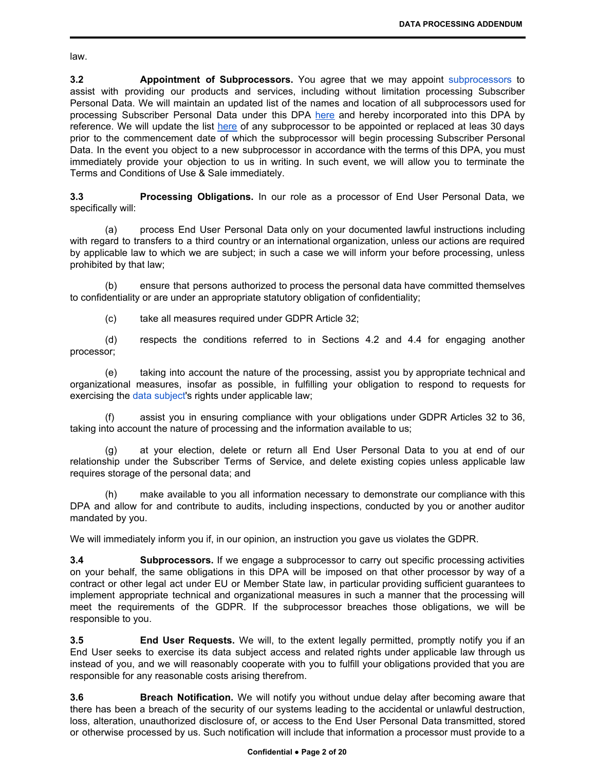law.

**3.2 Appointment of Subprocessors.** You agree that we may appoint [subprocessors](#page-2-9) to assist with providing our products and services, including without limitation processing Subscriber Personal Data. We will maintain an updated list of the names and location of all subprocessors used for processing Subscriber Personal Data under this DPA [here](https://app.mastermind.com/legal/subprocessors) and hereby incorporated into this DPA by reference. We will update the list [here](https://app.mastermind.com/legal/subprocessors) of any subprocessor to be appointed or replaced at leas 30 days prior to the commencement date of which the subprocessor will begin processing Subscriber Personal Data. In the event you object to a new subprocessor in accordance with the terms of this DPA, you must immediately provide your objection to us in writing. In such event, we will allow you to terminate the Terms and Conditions of Use & Sale immediately.

**3.3 Processing Obligations.** In our role as a processor of End User Personal Data, we specifically will:

(a) process End User Personal Data only on your documented lawful instructions including with regard to transfers to a third country or an international organization, unless our actions are required by applicable law to which we are subject; in such a case we will inform your before processing, unless prohibited by that law;

(b) ensure that persons authorized to process the personal data have committed themselves to confidentiality or are under an appropriate statutory obligation of confidentiality;

(c) take all measures required under GDPR Article 32;

(d) respects the conditions referred to in Sections 4.2 and 4.4 for engaging another processor;

(e) taking into account the nature of the processing, assist you by appropriate technical and organizational measures, insofar as possible, in fulfilling your obligation to respond to requests for exercising the data [subject](#page-2-10)'s rights under applicable law;

(f) assist you in ensuring compliance with your obligations under GDPR Articles 32 to 36, taking into account the nature of processing and the information available to us;

(g) at your election, delete or return all End User Personal Data to you at end of our relationship under the Subscriber Terms of Service, and delete existing copies unless applicable law requires storage of the personal data; and

(h) make available to you all information necessary to demonstrate our compliance with this DPA and allow for and contribute to audits, including inspections, conducted by you or another auditor mandated by you.

We will immediately inform you if, in our opinion, an instruction you gave us violates the GDPR.

**3.4 Subprocessors.** If we engage a subprocessor to carry out specific processing activities on your behalf, the same obligations in this DPA will be imposed on that other processor by way of a contract or other legal act under EU or Member State law, in particular providing sufficient guarantees to implement appropriate technical and organizational measures in such a manner that the processing will meet the requirements of the GDPR. If the subprocessor breaches those obligations, we will be responsible to you.

**3.5 End User Requests.** We will, to the extent legally permitted, promptly notify you if an End User seeks to exercise its data subject access and related rights under applicable law through us instead of you, and we will reasonably cooperate with you to fulfill your obligations provided that you are responsible for any reasonable costs arising therefrom.

**3.6 Breach Notification.** We will notify you without undue delay after becoming aware that there has been a breach of the security of our systems leading to the accidental or unlawful destruction, loss, alteration, unauthorized disclosure of, or access to the End User Personal Data transmitted, stored or otherwise processed by us. Such notification will include that information a processor must provide to a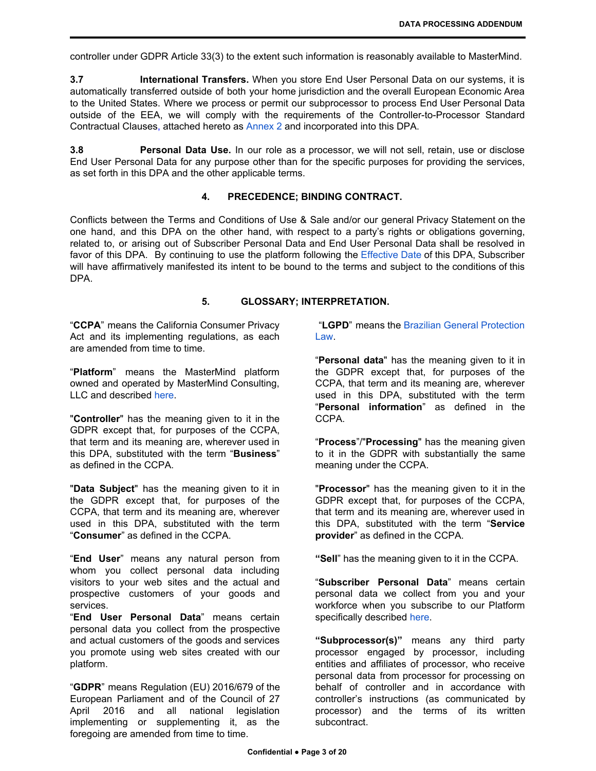controller under GDPR Article 33(3) to the extent such information is reasonably available to MasterMind.

**3.7 International Transfers.** When you store End User Personal Data on our systems, it is automatically transferred outside of both your home jurisdiction and the overall European Economic Area to the United States. Where we process or permit our subprocessor to process End User Personal Data outside of the EEA, we will comply with the requirements of the Controller-to-Processor Standard Contractual Clauses, attached hereto as [Annex](#page-11-0) 2 and incorporated into this DPA.

**3.8 Personal Data Use.** In our role as a processor, we will not sell, retain, use or disclose End User Personal Data for any purpose other than for the specific purposes for providing the services, as set forth in this DPA and the other applicable terms.

## **4. PRECEDENCE; BINDING CONTRACT.**

Conflicts between the Terms and Conditions of Use & Sale and/or our general Privacy Statement on the one hand, and this DPA on the other hand, with respect to a party's rights or obligations governing, related to, or arising out of Subscriber Personal Data and End User Personal Data shall be resolved in favor of this DPA. By continuing to use the platform following the [Effective](#page-0-0) Date of this DPA, Subscriber will have affirmatively manifested its intent to be bound to the terms and subject to the conditions of this DPA.

## <span id="page-2-1"></span>**5. GLOSSARY; INTERPRETATION.**

<span id="page-2-7"></span>"**CCPA**" means the California Consumer Privacy Act and its implementing regulations, as each are amended from time to time.

<span id="page-2-0"></span>"**Platform**" means the MasterMind platform owned and operated by MasterMind Consulting, LLC and described [here](#page-0-1).

<span id="page-2-3"></span>"**Controller**" has the meaning given to it in the GDPR except that, for purposes of the CCPA, that term and its meaning are, wherever used in this DPA, substituted with the term "**Business**" as defined in the CCPA.

<span id="page-2-10"></span>"**Data Subject**" has the meaning given to it in the GDPR except that, for purposes of the CCPA, that term and its meaning are, wherever used in this DPA, substituted with the term "**Consumer**" as defined in the CCPA.

<span id="page-2-2"></span>"**End User**" means any natural person from whom you collect personal data including visitors to your web sites and the actual and prospective customers of your goods and services.

"**End User Personal Data**" means certain personal data you collect from the prospective and actual customers of the goods and services you promote using web sites created with our platform.

<span id="page-2-6"></span>"**GDPR**" means Regulation (EU) 2016/679 of the European Parliament and of the Council of 27 April 2016 and all national legislation implementing or supplementing it, as the foregoing are amended from time to time.

<span id="page-2-8"></span>"**LGPD**" means the Brazilian General [Protection](https://iapp.org/media/pdf/resource_center/Brazilian_General_Data_Protection_Law.pdf) [Law](https://iapp.org/media/pdf/resource_center/Brazilian_General_Data_Protection_Law.pdf).

"**Personal data**" has the meaning given to it in the GDPR except that, for purposes of the CCPA, that term and its meaning are, wherever used in this DPA, substituted with the term "**Personal information**" as defined in the CCPA.

"**Process**"/"**Processing**" has the meaning given to it in the GDPR with substantially the same meaning under the CCPA.

<span id="page-2-5"></span>"**Processor**" has the meaning given to it in the GDPR except that, for purposes of the CCPA, that term and its meaning are, wherever used in this DPA, substituted with the term "**Service provider**" as defined in the CCPA.

**"Sell**" has the meaning given to it in the CCPA.

<span id="page-2-4"></span>"**Subscriber Personal Data**" means certain personal data we collect from you and your workforce when you subscribe to our Platform specifically described [here](#page-2-4).

<span id="page-2-9"></span>**"Subprocessor(s)"** means any third party processor engaged by processor, including entities and affiliates of processor, who receive personal data from processor for processing on behalf of controller and in accordance with controller's instructions (as communicated by processor) and the terms of its written subcontract.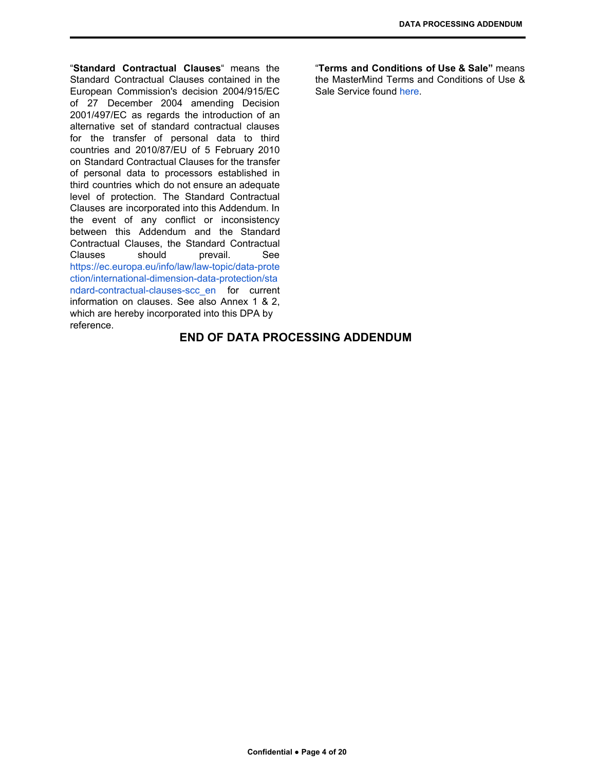<span id="page-3-1"></span>"**Standard Contractual Clauses**" means the Standard Contractual Clauses contained in the European Commission's decision 2004/915/EC of 27 December 2004 amending Decision 2001/497/EC as regards the introduction of an alternative set of standard contractual clauses for the transfer of personal data to third countries and 2010/87/EU of 5 February 2010 on Standard Contractual Clauses for the transfer of personal data to processors established in third countries which do not ensure an adequate level of protection. The Standard Contractual Clauses are incorporated into this Addendum. In the event of any conflict or inconsistency between this Addendum and the Standard Contractual Clauses, the Standard Contractual Clauses should prevail. See [https://ec.europa.eu/info/law/law-topic/data-prote](https://ec.europa.eu/info/law/law-topic/data-protection/international-dimension-data-protection/standard-contractual-clauses-scc_en) [ction/international-dimension-data-protection/sta](https://ec.europa.eu/info/law/law-topic/data-protection/international-dimension-data-protection/standard-contractual-clauses-scc_en) [ndard-contractual-clauses-scc\\_en](https://ec.europa.eu/info/law/law-topic/data-protection/international-dimension-data-protection/standard-contractual-clauses-scc_en) for current information on clauses. See also Annex 1 & 2, which are hereby incorporated into this DPA by reference.

<span id="page-3-0"></span>"**Terms and Conditions of Use & Sale"** means the MasterMind Terms and Conditions of Use & Sale Service found [here.](https://app.mastermind.com/legal/terms_of_service)

# **END OF DATA PROCESSING ADDENDUM**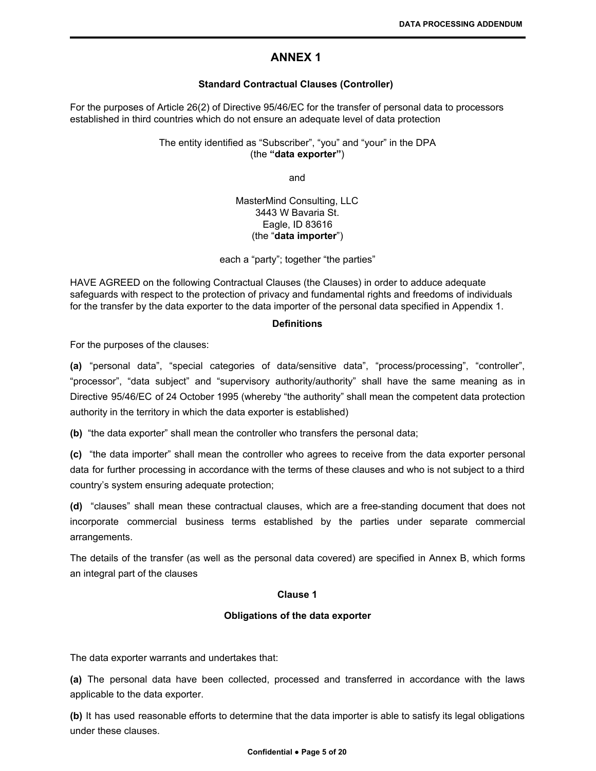## <span id="page-4-0"></span>**ANNEX 1**

#### **Standard Contractual Clauses (Controller)**

For the purposes of Article 26(2) of Directive 95/46/EC for the transfer of personal data to processors established in third countries which do not ensure an adequate level of data protection

## The entity identified as "Subscriber", "you" and "your" in the DPA (the **"data exporter"**)

and

MasterMind Consulting, LLC 3443 W Bavaria St. Eagle, ID 83616 (the "**data importer**")

each a "party"; together "the parties"

HAVE AGREED on the following Contractual Clauses (the Clauses) in order to adduce adequate safeguards with respect to the protection of privacy and fundamental rights and freedoms of individuals for the transfer by the data exporter to the data importer of the personal data specified in Appendix 1.

#### **Definitions**

For the purposes of the clauses:

**(a)** "personal data", "special categories of data/sensitive data", "process/processing", "controller", "processor", "data subject" and "supervisory authority/authority" shall have the same meaning as in Directive 95/46/EC of 24 October 1995 (whereby "the authority" shall mean the competent data protection authority in the territory in which the data exporter is established)

**(b)** "the data exporter" shall mean the controller who transfers the personal data;

**(c)** "the data importer" shall mean the controller who agrees to receive from the data exporter personal data for further processing in accordance with the terms of these clauses and who is not subject to a third country's system ensuring adequate protection;

**(d)** "clauses" shall mean these contractual clauses, which are a free-standing document that does not incorporate commercial business terms established by the parties under separate commercial arrangements.

The details of the transfer (as well as the personal data covered) are specified in Annex B, which forms an integral part of the clauses

## **Clause 1**

#### **Obligations of the data exporter**

The data exporter warrants and undertakes that:

**(a)** The personal data have been collected, processed and transferred in accordance with the laws applicable to the data exporter.

**(b)** It has used reasonable efforts to determine that the data importer is able to satisfy its legal obligations under these clauses.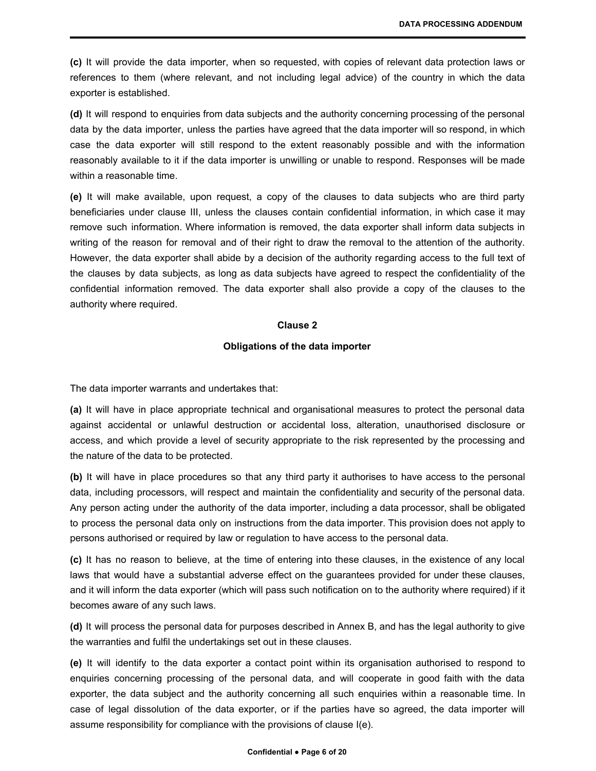**(c)** It will provide the data importer, when so requested, with copies of relevant data protection laws or references to them (where relevant, and not including legal advice) of the country in which the data exporter is established.

**(d)** It will respond to enquiries from data subjects and the authority concerning processing of the personal data by the data importer, unless the parties have agreed that the data importer will so respond, in which case the data exporter will still respond to the extent reasonably possible and with the information reasonably available to it if the data importer is unwilling or unable to respond. Responses will be made within a reasonable time.

**(e)** It will make available, upon request, a copy of the clauses to data subjects who are third party beneficiaries under clause III, unless the clauses contain confidential information, in which case it may remove such information. Where information is removed, the data exporter shall inform data subjects in writing of the reason for removal and of their right to draw the removal to the attention of the authority. However, the data exporter shall abide by a decision of the authority regarding access to the full text of the clauses by data subjects, as long as data subjects have agreed to respect the confidentiality of the confidential information removed. The data exporter shall also provide a copy of the clauses to the authority where required.

#### **Clause 2**

## **Obligations of the data importer**

The data importer warrants and undertakes that:

**(a)** It will have in place appropriate technical and organisational measures to protect the personal data against accidental or unlawful destruction or accidental loss, alteration, unauthorised disclosure or access, and which provide a level of security appropriate to the risk represented by the processing and the nature of the data to be protected.

**(b)** It will have in place procedures so that any third party it authorises to have access to the personal data, including processors, will respect and maintain the confidentiality and security of the personal data. Any person acting under the authority of the data importer, including a data processor, shall be obligated to process the personal data only on instructions from the data importer. This provision does not apply to persons authorised or required by law or regulation to have access to the personal data.

**(c)** It has no reason to believe, at the time of entering into these clauses, in the existence of any local laws that would have a substantial adverse effect on the guarantees provided for under these clauses, and it will inform the data exporter (which will pass such notification on to the authority where required) if it becomes aware of any such laws.

**(d)** It will process the personal data for purposes described in Annex B, and has the legal authority to give the warranties and fulfil the undertakings set out in these clauses.

**(e)** It will identify to the data exporter a contact point within its organisation authorised to respond to enquiries concerning processing of the personal data, and will cooperate in good faith with the data exporter, the data subject and the authority concerning all such enquiries within a reasonable time. In case of legal dissolution of the data exporter, or if the parties have so agreed, the data importer will assume responsibility for compliance with the provisions of clause I(e).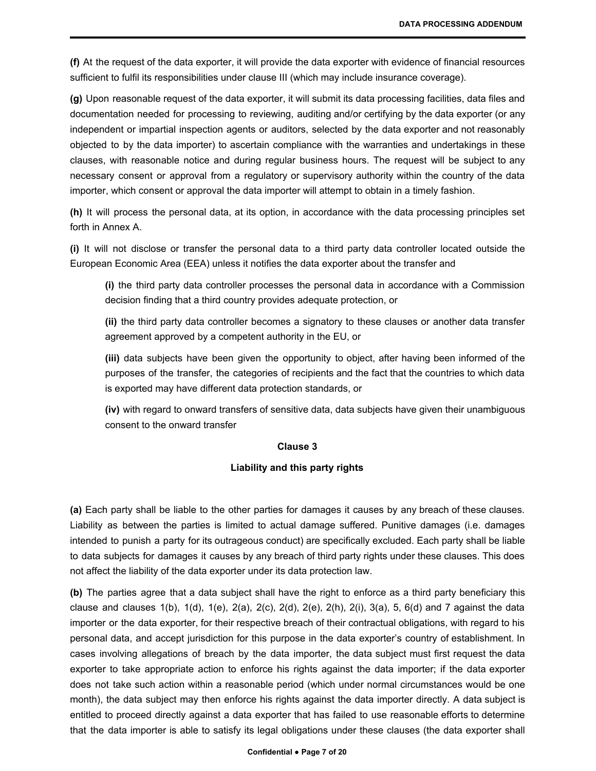**(f)** At the request of the data exporter, it will provide the data exporter with evidence of financial resources sufficient to fulfil its responsibilities under clause III (which may include insurance coverage).

**(g)** Upon reasonable request of the data exporter, it will submit its data processing facilities, data files and documentation needed for processing to reviewing, auditing and/or certifying by the data exporter (or any independent or impartial inspection agents or auditors, selected by the data exporter and not reasonably objected to by the data importer) to ascertain compliance with the warranties and undertakings in these clauses, with reasonable notice and during regular business hours. The request will be subject to any necessary consent or approval from a regulatory or supervisory authority within the country of the data importer, which consent or approval the data importer will attempt to obtain in a timely fashion.

**(h)** It will process the personal data, at its option, in accordance with the data processing principles set forth in Annex A.

**(i)** It will not disclose or transfer the personal data to a third party data controller located outside the European Economic Area (EEA) unless it notifies the data exporter about the transfer and

**(i)** the third party data controller processes the personal data in accordance with a Commission decision finding that a third country provides adequate protection, or

**(ii)** the third party data controller becomes a signatory to these clauses or another data transfer agreement approved by a competent authority in the EU, or

**(iii)** data subjects have been given the opportunity to object, after having been informed of the purposes of the transfer, the categories of recipients and the fact that the countries to which data is exported may have different data protection standards, or

**(iv)** with regard to onward transfers of sensitive data, data subjects have given their unambiguous consent to the onward transfer

## **Clause 3**

## **Liability and this party rights**

**(a)** Each party shall be liable to the other parties for damages it causes by any breach of these clauses. Liability as between the parties is limited to actual damage suffered. Punitive damages (i.e. damages intended to punish a party for its outrageous conduct) are specifically excluded. Each party shall be liable to data subjects for damages it causes by any breach of third party rights under these clauses. This does not affect the liability of the data exporter under its data protection law.

**(b)** The parties agree that a data subject shall have the right to enforce as a third party beneficiary this clause and clauses  $1(b)$ ,  $1(d)$ ,  $1(e)$ ,  $2(a)$ ,  $2(c)$ ,  $2(d)$ ,  $2(e)$ ,  $2(h)$ ,  $2(i)$ ,  $3(a)$ ,  $5$ ,  $6(d)$  and 7 against the data importer or the data exporter, for their respective breach of their contractual obligations, with regard to his personal data, and accept jurisdiction for this purpose in the data exporter's country of establishment. In cases involving allegations of breach by the data importer, the data subject must first request the data exporter to take appropriate action to enforce his rights against the data importer; if the data exporter does not take such action within a reasonable period (which under normal circumstances would be one month), the data subject may then enforce his rights against the data importer directly. A data subject is entitled to proceed directly against a data exporter that has failed to use reasonable efforts to determine that the data importer is able to satisfy its legal obligations under these clauses (the data exporter shall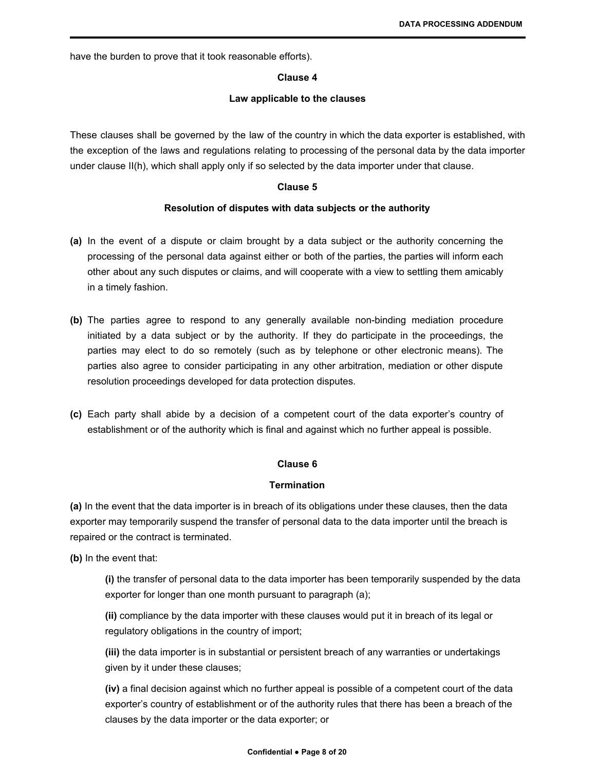have the burden to prove that it took reasonable efforts).

## **Clause 4**

## **Law applicable to the clauses**

These clauses shall be governed by the law of the country in which the data exporter is established, with the exception of the laws and regulations relating to processing of the personal data by the data importer under clause II(h), which shall apply only if so selected by the data importer under that clause.

## **Clause 5**

## **Resolution of disputes with data subjects or the authority**

- **(a)** In the event of a dispute or claim brought by a data subject or the authority concerning the processing of the personal data against either or both of the parties, the parties will inform each other about any such disputes or claims, and will cooperate with a view to settling them amicably in a timely fashion.
- **(b)** The parties agree to respond to any generally available non-binding mediation procedure initiated by a data subject or by the authority. If they do participate in the proceedings, the parties may elect to do so remotely (such as by telephone or other electronic means). The parties also agree to consider participating in any other arbitration, mediation or other dispute resolution proceedings developed for data protection disputes.
- **(c)** Each party shall abide by a decision of a competent court of the data exporter's country of establishment or of the authority which is final and against which no further appeal is possible.

## **Clause 6**

## **Termination**

**(a)** In the event that the data importer is in breach of its obligations under these clauses, then the data exporter may temporarily suspend the transfer of personal data to the data importer until the breach is repaired or the contract is terminated.

**(b)** In the event that:

**(i)** the transfer of personal data to the data importer has been temporarily suspended by the data exporter for longer than one month pursuant to paragraph (a);

**(ii)** compliance by the data importer with these clauses would put it in breach of its legal or regulatory obligations in the country of import;

**(iii)** the data importer is in substantial or persistent breach of any warranties or undertakings given by it under these clauses;

**(iv)** a final decision against which no further appeal is possible of a competent court of the data exporter's country of establishment or of the authority rules that there has been a breach of the clauses by the data importer or the data exporter; or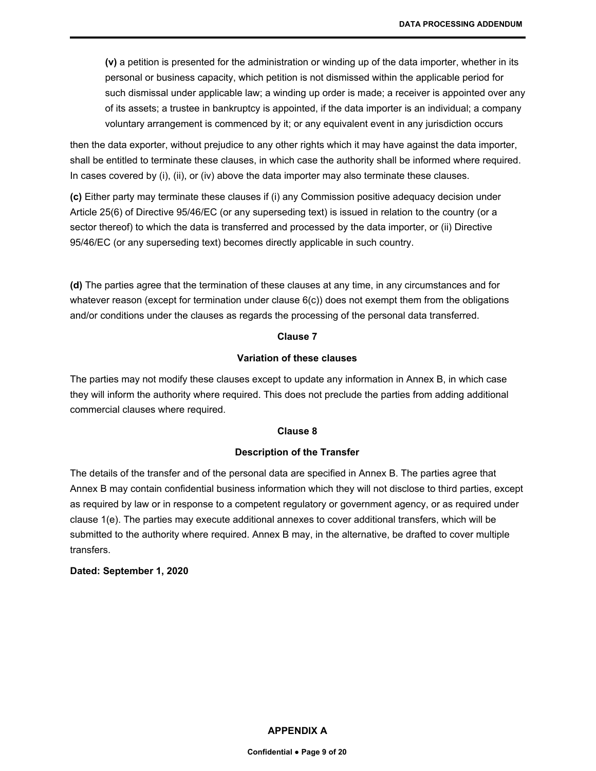**(v)** a petition is presented for the administration or winding up of the data importer, whether in its personal or business capacity, which petition is not dismissed within the applicable period for such dismissal under applicable law; a winding up order is made; a receiver is appointed over any of its assets; a trustee in bankruptcy is appointed, if the data importer is an individual; a company voluntary arrangement is commenced by it; or any equivalent event in any jurisdiction occurs

then the data exporter, without prejudice to any other rights which it may have against the data importer, shall be entitled to terminate these clauses, in which case the authority shall be informed where required. In cases covered by (i), (ii), or (iv) above the data importer may also terminate these clauses.

**(c)** Either party may terminate these clauses if (i) any Commission positive adequacy decision under Article 25(6) of Directive 95/46/EC (or any superseding text) is issued in relation to the country (or a sector thereof) to which the data is transferred and processed by the data importer, or (ii) Directive 95/46/EC (or any superseding text) becomes directly applicable in such country.

**(d)** The parties agree that the termination of these clauses at any time, in any circumstances and for whatever reason (except for termination under clause 6(c)) does not exempt them from the obligations and/or conditions under the clauses as regards the processing of the personal data transferred.

#### **Clause 7**

#### **Variation of these clauses**

The parties may not modify these clauses except to update any information in Annex B, in which case they will inform the authority where required. This does not preclude the parties from adding additional commercial clauses where required.

## **Clause 8**

## **Description of the Transfer**

The details of the transfer and of the personal data are specified in Annex B. The parties agree that Annex B may contain confidential business information which they will not disclose to third parties, except as required by law or in response to a competent regulatory or government agency, or as required under clause 1(e). The parties may execute additional annexes to cover additional transfers, which will be submitted to the authority where required. Annex B may, in the alternative, be drafted to cover multiple transfers.

## **Dated: September 1, 2020**

#### **APPENDIX A**

**Confidential ● Page 9 of 20**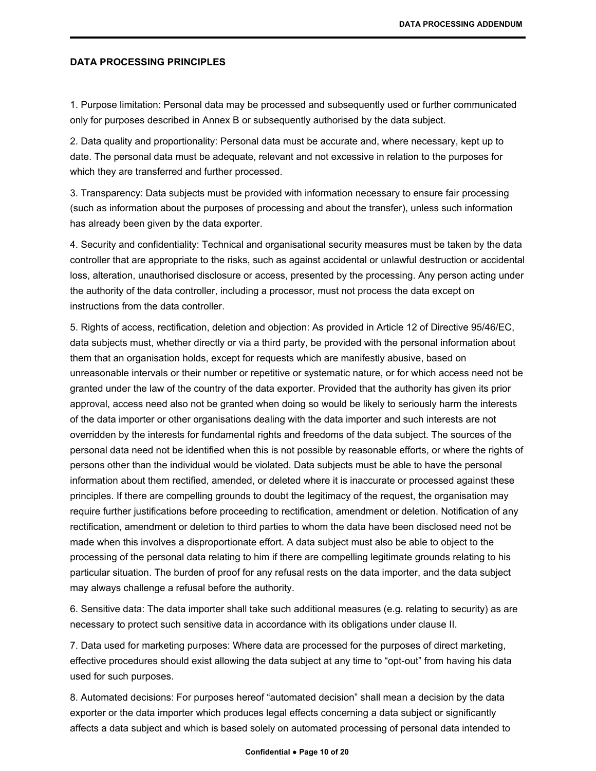## **DATA PROCESSING PRINCIPLES**

1. Purpose limitation: Personal data may be processed and subsequently used or further communicated only for purposes described in Annex B or subsequently authorised by the data subject.

2. Data quality and proportionality: Personal data must be accurate and, where necessary, kept up to date. The personal data must be adequate, relevant and not excessive in relation to the purposes for which they are transferred and further processed.

3. Transparency: Data subjects must be provided with information necessary to ensure fair processing (such as information about the purposes of processing and about the transfer), unless such information has already been given by the data exporter.

4. Security and confidentiality: Technical and organisational security measures must be taken by the data controller that are appropriate to the risks, such as against accidental or unlawful destruction or accidental loss, alteration, unauthorised disclosure or access, presented by the processing. Any person acting under the authority of the data controller, including a processor, must not process the data except on instructions from the data controller.

5. Rights of access, rectification, deletion and objection: As provided in Article 12 of Directive 95/46/EC, data subjects must, whether directly or via a third party, be provided with the personal information about them that an organisation holds, except for requests which are manifestly abusive, based on unreasonable intervals or their number or repetitive or systematic nature, or for which access need not be granted under the law of the country of the data exporter. Provided that the authority has given its prior approval, access need also not be granted when doing so would be likely to seriously harm the interests of the data importer or other organisations dealing with the data importer and such interests are not overridden by the interests for fundamental rights and freedoms of the data subject. The sources of the personal data need not be identified when this is not possible by reasonable efforts, or where the rights of persons other than the individual would be violated. Data subjects must be able to have the personal information about them rectified, amended, or deleted where it is inaccurate or processed against these principles. If there are compelling grounds to doubt the legitimacy of the request, the organisation may require further justifications before proceeding to rectification, amendment or deletion. Notification of any rectification, amendment or deletion to third parties to whom the data have been disclosed need not be made when this involves a disproportionate effort. A data subject must also be able to object to the processing of the personal data relating to him if there are compelling legitimate grounds relating to his particular situation. The burden of proof for any refusal rests on the data importer, and the data subject may always challenge a refusal before the authority.

6. Sensitive data: The data importer shall take such additional measures (e.g. relating to security) as are necessary to protect such sensitive data in accordance with its obligations under clause II.

7. Data used for marketing purposes: Where data are processed for the purposes of direct marketing, effective procedures should exist allowing the data subject at any time to "opt-out" from having his data used for such purposes.

8. Automated decisions: For purposes hereof "automated decision" shall mean a decision by the data exporter or the data importer which produces legal effects concerning a data subject or significantly affects a data subject and which is based solely on automated processing of personal data intended to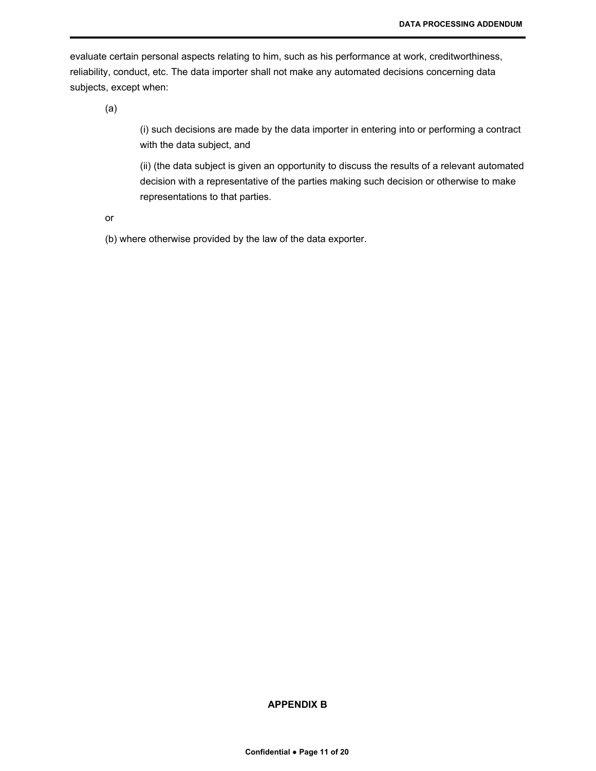evaluate certain personal aspects relating to him, such as his performance at work, creditworthiness, reliability, conduct, etc. The data importer shall not make any automated decisions concerning data subjects, except when:

(a)

(i) such decisions are made by the data importer in entering into or performing a contract with the data subject, and

(ii) (the data subject is given an opportunity to discuss the results of a relevant automated decision with a representative of the parties making such decision or otherwise to make representations to that parties.

or

(b) where otherwise provided by the law of the data exporter.

## **APPENDIX B**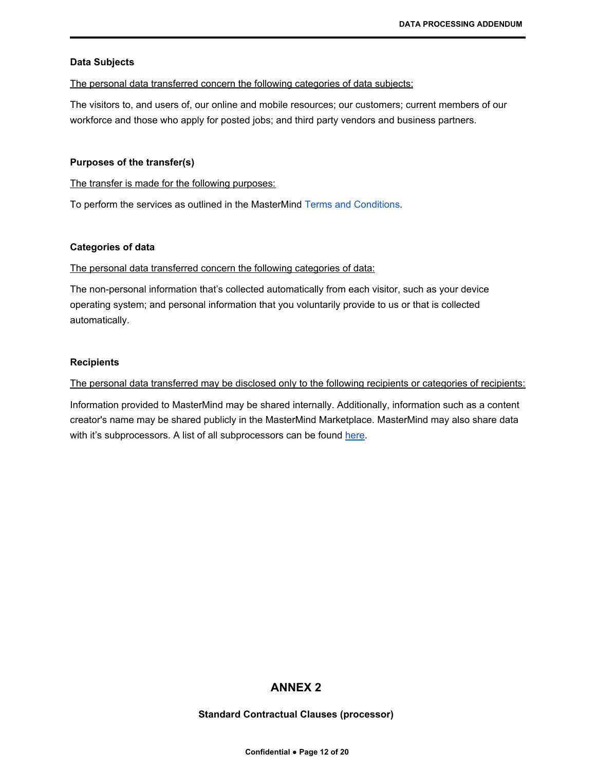#### **Data Subjects**

The personal data transferred concern the following categories of data subjects:

The visitors to, and users of, our online and mobile resources; our customers; current members of our workforce and those who apply for posted jobs; and third party vendors and business partners.

#### **Purposes of the transfer(s)**

The transfer is made for the following purposes:

To perform the services as outlined in the MasterMind Terms and [Conditions.](https://app.mastermind.com/legal/terms_of_service)

#### **Categories of data**

The personal data transferred concern the following categories of data:

The non-personal information that's collected automatically from each visitor, such as your device operating system; and personal information that you voluntarily provide to us or that is collected automatically.

#### **Recipients**

The personal data transferred may be disclosed only to the following recipients or categories of recipients:

Information provided to MasterMind may be shared internally. Additionally, information such as a content creator's name may be shared publicly in the MasterMind Marketplace. MasterMind may also share data with it's subprocessors. A list of all subprocessors can be found [here.](https://app.mastermind.com/legal/subprocessors)

## <span id="page-11-0"></span>**ANNEX 2**

**Standard Contractual Clauses (processor)**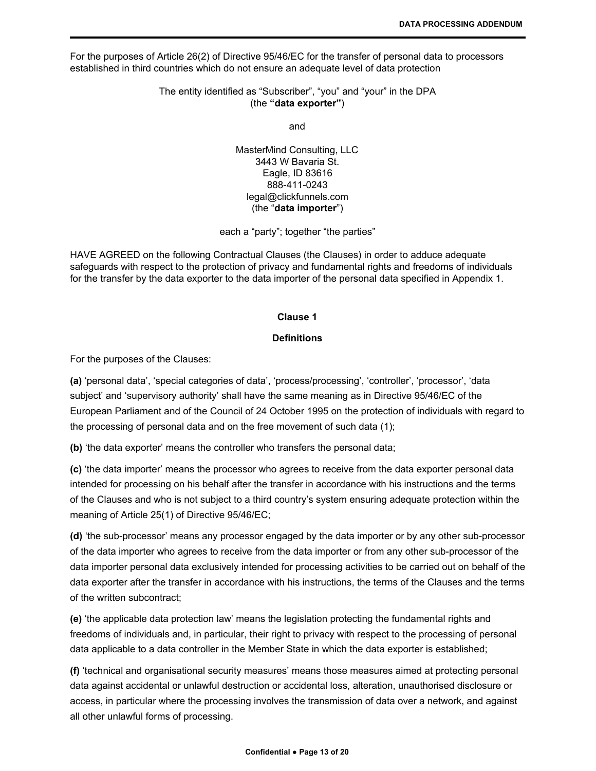For the purposes of Article 26(2) of Directive 95/46/EC for the transfer of personal data to processors established in third countries which do not ensure an adequate level of data protection

> The entity identified as "Subscriber", "you" and "your" in the DPA (the **"data exporter"**)

> > and

MasterMind Consulting, LLC 3443 W Bavaria St. Eagle, ID 83616 888-411-0243 legal@clickfunnels.com (the "**data importer**")

each a "party"; together "the parties"

HAVE AGREED on the following Contractual Clauses (the Clauses) in order to adduce adequate safeguards with respect to the protection of privacy and fundamental rights and freedoms of individuals for the transfer by the data exporter to the data importer of the personal data specified in Appendix 1.

## **Clause 1**

## **Definitions**

For the purposes of the Clauses:

**(a)** 'personal data', 'special categories of data', 'process/processing', 'controller', 'processor', 'data subject' and 'supervisory authority' shall have the same meaning as in Directive 95/46/EC of the European Parliament and of the Council of 24 October 1995 on the protection of individuals with regard to the processing of personal data and on the free movement of such data (1);

**(b)** 'the data exporter' means the controller who transfers the personal data;

**(c)** 'the data importer' means the processor who agrees to receive from the data exporter personal data intended for processing on his behalf after the transfer in accordance with his instructions and the terms of the Clauses and who is not subject to a third country's system ensuring adequate protection within the meaning of Article 25(1) of Directive 95/46/EC;

**(d)** 'the sub-processor' means any processor engaged by the data importer or by any other sub-processor of the data importer who agrees to receive from the data importer or from any other sub-processor of the data importer personal data exclusively intended for processing activities to be carried out on behalf of the data exporter after the transfer in accordance with his instructions, the terms of the Clauses and the terms of the written subcontract;

**(e)** 'the applicable data protection law' means the legislation protecting the fundamental rights and freedoms of individuals and, in particular, their right to privacy with respect to the processing of personal data applicable to a data controller in the Member State in which the data exporter is established;

**(f)** 'technical and organisational security measures' means those measures aimed at protecting personal data against accidental or unlawful destruction or accidental loss, alteration, unauthorised disclosure or access, in particular where the processing involves the transmission of data over a network, and against all other unlawful forms of processing.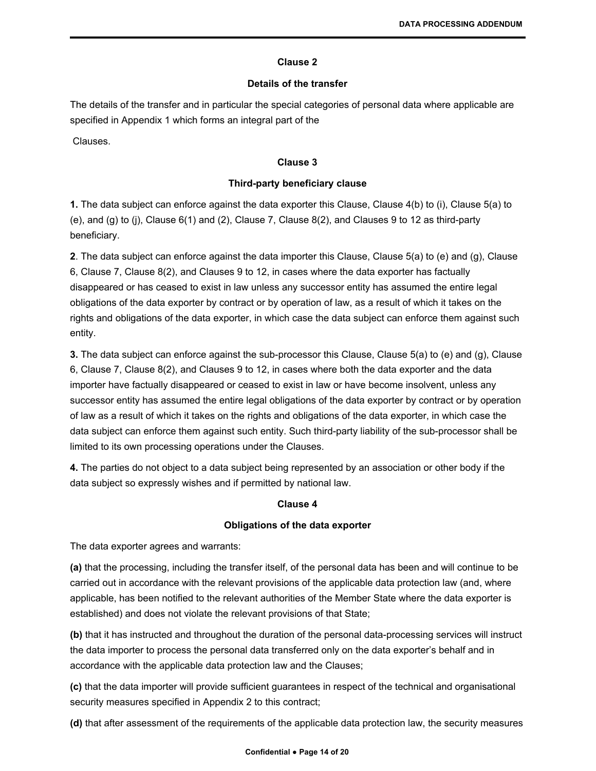#### **Clause 2**

## **Details of the transfer**

The details of the transfer and in particular the special categories of personal data where applicable are specified in Appendix 1 which forms an integral part of the

Clauses.

## **Clause 3**

#### **Third-party beneficiary clause**

**1.** The data subject can enforce against the data exporter this Clause, Clause 4(b) to (i), Clause 5(a) to (e), and (g) to (j), Clause 6(1) and (2), Clause 7, Clause 8(2), and Clauses 9 to 12 as third-party beneficiary.

**2**. The data subject can enforce against the data importer this Clause, Clause 5(a) to (e) and (g), Clause 6, Clause 7, Clause 8(2), and Clauses 9 to 12, in cases where the data exporter has factually disappeared or has ceased to exist in law unless any successor entity has assumed the entire legal obligations of the data exporter by contract or by operation of law, as a result of which it takes on the rights and obligations of the data exporter, in which case the data subject can enforce them against such entity.

**3.** The data subject can enforce against the sub-processor this Clause, Clause 5(a) to (e) and (g), Clause 6, Clause 7, Clause 8(2), and Clauses 9 to 12, in cases where both the data exporter and the data importer have factually disappeared or ceased to exist in law or have become insolvent, unless any successor entity has assumed the entire legal obligations of the data exporter by contract or by operation of law as a result of which it takes on the rights and obligations of the data exporter, in which case the data subject can enforce them against such entity. Such third-party liability of the sub-processor shall be limited to its own processing operations under the Clauses.

**4.** The parties do not object to a data subject being represented by an association or other body if the data subject so expressly wishes and if permitted by national law.

## **Clause 4**

#### **Obligations of the data exporter**

The data exporter agrees and warrants:

**(a)** that the processing, including the transfer itself, of the personal data has been and will continue to be carried out in accordance with the relevant provisions of the applicable data protection law (and, where applicable, has been notified to the relevant authorities of the Member State where the data exporter is established) and does not violate the relevant provisions of that State;

**(b)** that it has instructed and throughout the duration of the personal data-processing services will instruct the data importer to process the personal data transferred only on the data exporter's behalf and in accordance with the applicable data protection law and the Clauses;

**(c)** that the data importer will provide sufficient guarantees in respect of the technical and organisational security measures specified in Appendix 2 to this contract;

**(d)** that after assessment of the requirements of the applicable data protection law, the security measures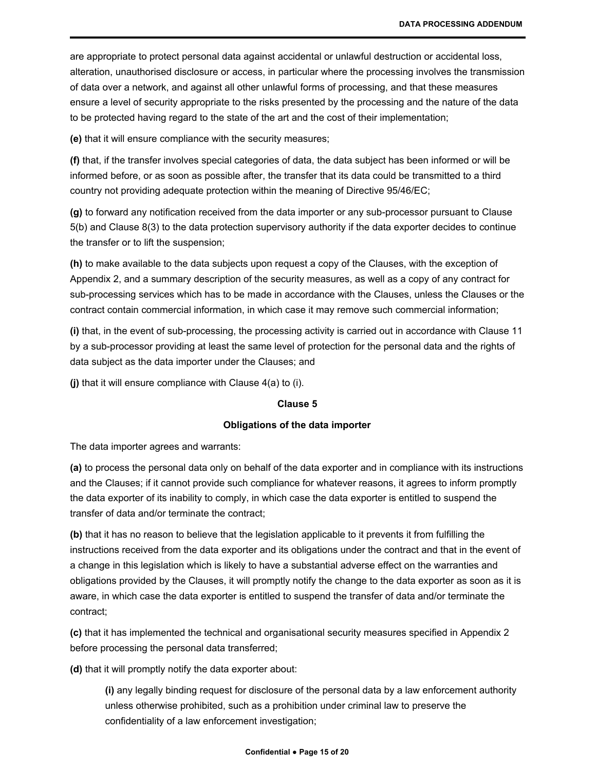are appropriate to protect personal data against accidental or unlawful destruction or accidental loss, alteration, unauthorised disclosure or access, in particular where the processing involves the transmission of data over a network, and against all other unlawful forms of processing, and that these measures ensure a level of security appropriate to the risks presented by the processing and the nature of the data to be protected having regard to the state of the art and the cost of their implementation;

**(e)** that it will ensure compliance with the security measures;

**(f)** that, if the transfer involves special categories of data, the data subject has been informed or will be informed before, or as soon as possible after, the transfer that its data could be transmitted to a third country not providing adequate protection within the meaning of Directive 95/46/EC;

**(g)** to forward any notification received from the data importer or any sub-processor pursuant to Clause 5(b) and Clause 8(3) to the data protection supervisory authority if the data exporter decides to continue the transfer or to lift the suspension;

**(h)** to make available to the data subjects upon request a copy of the Clauses, with the exception of Appendix 2, and a summary description of the security measures, as well as a copy of any contract for sub-processing services which has to be made in accordance with the Clauses, unless the Clauses or the contract contain commercial information, in which case it may remove such commercial information;

**(i)** that, in the event of sub-processing, the processing activity is carried out in accordance with Clause 11 by a sub-processor providing at least the same level of protection for the personal data and the rights of data subject as the data importer under the Clauses; and

**(j)** that it will ensure compliance with Clause 4(a) to (i).

#### **Clause 5**

#### **Obligations of the data importer**

The data importer agrees and warrants:

**(a)** to process the personal data only on behalf of the data exporter and in compliance with its instructions and the Clauses; if it cannot provide such compliance for whatever reasons, it agrees to inform promptly the data exporter of its inability to comply, in which case the data exporter is entitled to suspend the transfer of data and/or terminate the contract;

**(b)** that it has no reason to believe that the legislation applicable to it prevents it from fulfilling the instructions received from the data exporter and its obligations under the contract and that in the event of a change in this legislation which is likely to have a substantial adverse effect on the warranties and obligations provided by the Clauses, it will promptly notify the change to the data exporter as soon as it is aware, in which case the data exporter is entitled to suspend the transfer of data and/or terminate the contract;

**(c)** that it has implemented the technical and organisational security measures specified in Appendix 2 before processing the personal data transferred;

**(d)** that it will promptly notify the data exporter about:

**(i)** any legally binding request for disclosure of the personal data by a law enforcement authority unless otherwise prohibited, such as a prohibition under criminal law to preserve the confidentiality of a law enforcement investigation;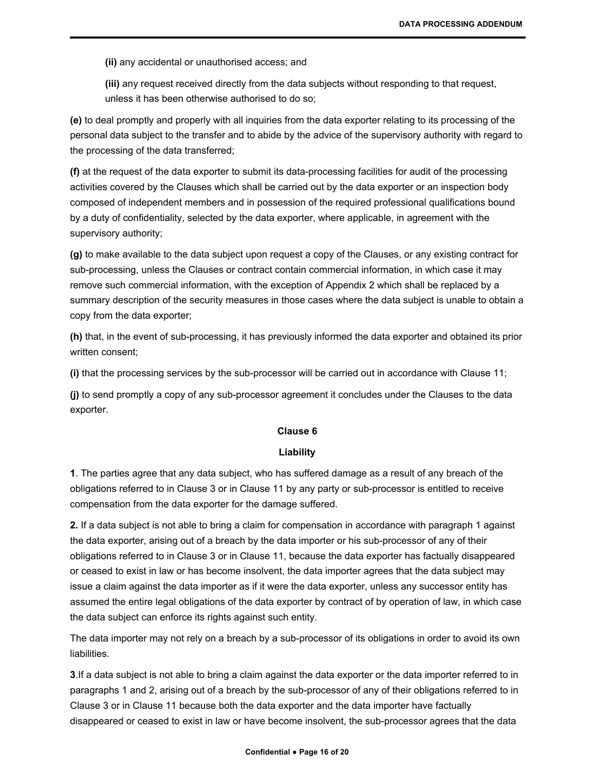**(ii)** any accidental or unauthorised access; and

**(iii)** any request received directly from the data subjects without responding to that request, unless it has been otherwise authorised to do so;

**(e)** to deal promptly and properly with all inquiries from the data exporter relating to its processing of the personal data subject to the transfer and to abide by the advice of the supervisory authority with regard to the processing of the data transferred;

**(f)** at the request of the data exporter to submit its data-processing facilities for audit of the processing activities covered by the Clauses which shall be carried out by the data exporter or an inspection body composed of independent members and in possession of the required professional qualifications bound by a duty of confidentiality, selected by the data exporter, where applicable, in agreement with the supervisory authority;

**(g)** to make available to the data subject upon request a copy of the Clauses, or any existing contract for sub-processing, unless the Clauses or contract contain commercial information, in which case it may remove such commercial information, with the exception of Appendix 2 which shall be replaced by a summary description of the security measures in those cases where the data subject is unable to obtain a copy from the data exporter;

**(h)** that, in the event of sub-processing, it has previously informed the data exporter and obtained its prior written consent;

**(i)** that the processing services by the sub-processor will be carried out in accordance with Clause 11;

**(j)** to send promptly a copy of any sub-processor agreement it concludes under the Clauses to the data exporter.

#### **Clause 6**

#### **Liability**

**1**. The parties agree that any data subject, who has suffered damage as a result of any breach of the obligations referred to in Clause 3 or in Clause 11 by any party or sub-processor is entitled to receive compensation from the data exporter for the damage suffered.

**2.** If a data subject is not able to bring a claim for compensation in accordance with paragraph 1 against the data exporter, arising out of a breach by the data importer or his sub-processor of any of their obligations referred to in Clause 3 or in Clause 11, because the data exporter has factually disappeared or ceased to exist in law or has become insolvent, the data importer agrees that the data subject may issue a claim against the data importer as if it were the data exporter, unless any successor entity has assumed the entire legal obligations of the data exporter by contract of by operation of law, in which case the data subject can enforce its rights against such entity.

The data importer may not rely on a breach by a sub-processor of its obligations in order to avoid its own liabilities.

**3**.If a data subject is not able to bring a claim against the data exporter or the data importer referred to in paragraphs 1 and 2, arising out of a breach by the sub-processor of any of their obligations referred to in Clause 3 or in Clause 11 because both the data exporter and the data importer have factually disappeared or ceased to exist in law or have become insolvent, the sub-processor agrees that the data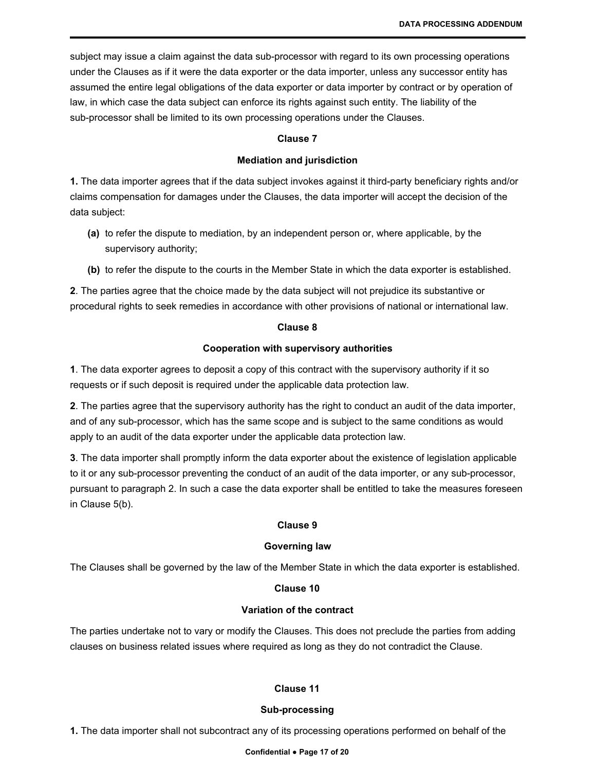subject may issue a claim against the data sub-processor with regard to its own processing operations under the Clauses as if it were the data exporter or the data importer, unless any successor entity has assumed the entire legal obligations of the data exporter or data importer by contract or by operation of law, in which case the data subject can enforce its rights against such entity. The liability of the sub-processor shall be limited to its own processing operations under the Clauses.

#### **Clause 7**

#### **Mediation and jurisdiction**

**1.** The data importer agrees that if the data subject invokes against it third-party beneficiary rights and/or claims compensation for damages under the Clauses, the data importer will accept the decision of the data subject:

- **(a)** to refer the dispute to mediation, by an independent person or, where applicable, by the supervisory authority;
- **(b)** to refer the dispute to the courts in the Member State in which the data exporter is established.

**2**. The parties agree that the choice made by the data subject will not prejudice its substantive or procedural rights to seek remedies in accordance with other provisions of national or international law.

## **Clause 8**

#### **Cooperation with supervisory authorities**

**1**. The data exporter agrees to deposit a copy of this contract with the supervisory authority if it so requests or if such deposit is required under the applicable data protection law.

**2**. The parties agree that the supervisory authority has the right to conduct an audit of the data importer, and of any sub-processor, which has the same scope and is subject to the same conditions as would apply to an audit of the data exporter under the applicable data protection law.

**3**. The data importer shall promptly inform the data exporter about the existence of legislation applicable to it or any sub-processor preventing the conduct of an audit of the data importer, or any sub-processor, pursuant to paragraph 2. In such a case the data exporter shall be entitled to take the measures foreseen in Clause 5(b).

#### **Clause 9**

#### **Governing law**

The Clauses shall be governed by the law of the Member State in which the data exporter is established.

#### **Clause 10**

#### **Variation of the contract**

The parties undertake not to vary or modify the Clauses. This does not preclude the parties from adding clauses on business related issues where required as long as they do not contradict the Clause.

#### **Clause 11**

#### **Sub-processing**

**1.** The data importer shall not subcontract any of its processing operations performed on behalf of the

#### **Confidential ● Page 17 of 20**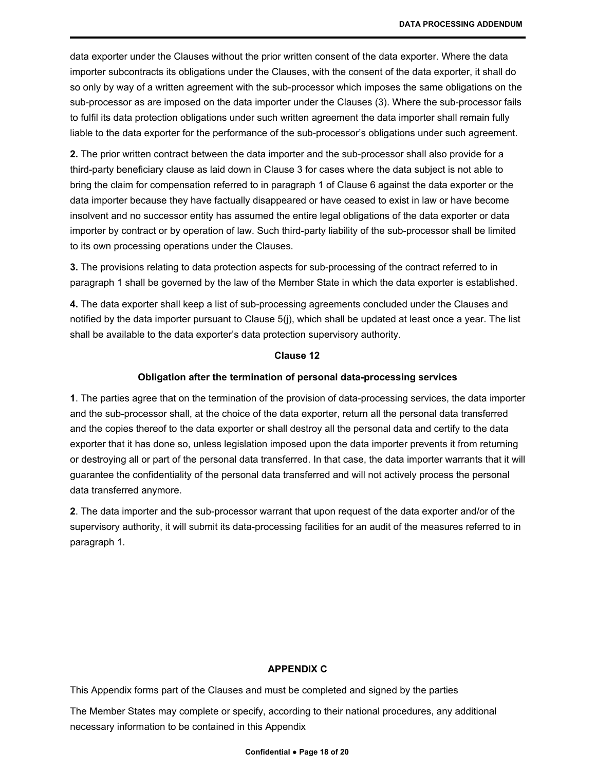data exporter under the Clauses without the prior written consent of the data exporter. Where the data importer subcontracts its obligations under the Clauses, with the consent of the data exporter, it shall do so only by way of a written agreement with the sub-processor which imposes the same obligations on the sub-processor as are imposed on the data importer under the Clauses (3). Where the sub-processor fails to fulfil its data protection obligations under such written agreement the data importer shall remain fully liable to the data exporter for the performance of the sub-processor's obligations under such agreement.

**2.** The prior written contract between the data importer and the sub-processor shall also provide for a third-party beneficiary clause as laid down in Clause 3 for cases where the data subject is not able to bring the claim for compensation referred to in paragraph 1 of Clause 6 against the data exporter or the data importer because they have factually disappeared or have ceased to exist in law or have become insolvent and no successor entity has assumed the entire legal obligations of the data exporter or data importer by contract or by operation of law. Such third-party liability of the sub-processor shall be limited to its own processing operations under the Clauses.

**3.** The provisions relating to data protection aspects for sub-processing of the contract referred to in paragraph 1 shall be governed by the law of the Member State in which the data exporter is established.

**4.** The data exporter shall keep a list of sub-processing agreements concluded under the Clauses and notified by the data importer pursuant to Clause 5(j), which shall be updated at least once a year. The list shall be available to the data exporter's data protection supervisory authority.

#### **Clause 12**

#### **Obligation after the termination of personal data-processing services**

**1**. The parties agree that on the termination of the provision of data-processing services, the data importer and the sub-processor shall, at the choice of the data exporter, return all the personal data transferred and the copies thereof to the data exporter or shall destroy all the personal data and certify to the data exporter that it has done so, unless legislation imposed upon the data importer prevents it from returning or destroying all or part of the personal data transferred. In that case, the data importer warrants that it will guarantee the confidentiality of the personal data transferred and will not actively process the personal data transferred anymore.

**2**. The data importer and the sub-processor warrant that upon request of the data exporter and/or of the supervisory authority, it will submit its data-processing facilities for an audit of the measures referred to in paragraph 1.

## **APPENDIX C**

This Appendix forms part of the Clauses and must be completed and signed by the parties

The Member States may complete or specify, according to their national procedures, any additional necessary information to be contained in this Appendix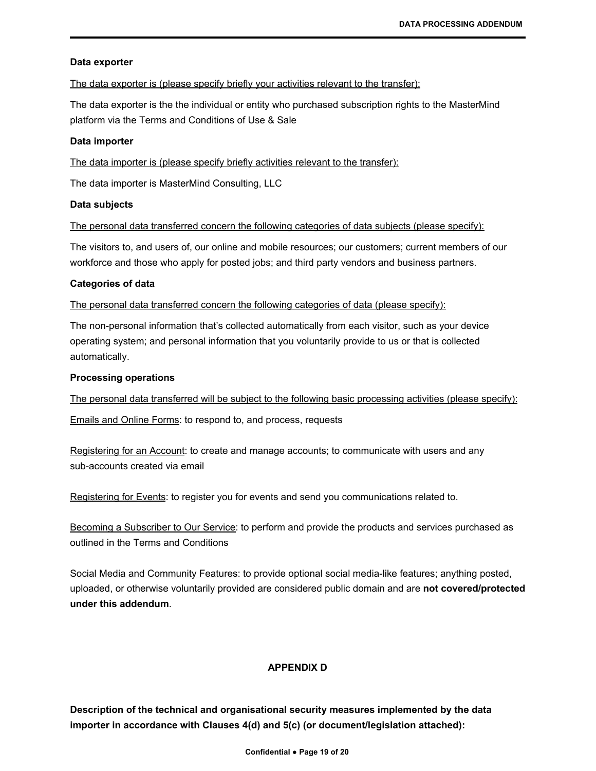## **Data exporter**

The data exporter is (please specify briefly your activities relevant to the transfer):

The data exporter is the the individual or entity who purchased subscription rights to the MasterMind platform via the Terms and Conditions of Use & Sale

## **Data importer**

The data importer is (please specify briefly activities relevant to the transfer):

The data importer is MasterMind Consulting, LLC

## **Data subjects**

The personal data transferred concern the following categories of data subjects (please specify):

The visitors to, and users of, our online and mobile resources; our customers; current members of our workforce and those who apply for posted jobs; and third party vendors and business partners.

## **Categories of data**

The personal data transferred concern the following categories of data (please specify):

The non-personal information that's collected automatically from each visitor, such as your device operating system; and personal information that you voluntarily provide to us or that is collected automatically.

## **Processing operations**

The personal data transferred will be subject to the following basic processing activities (please specify):

Emails and Online Forms: to respond to, and process, requests

Registering for an Account: to create and manage accounts; to communicate with users and any sub-accounts created via email

Registering for Events: to register you for events and send you communications related to.

Becoming a Subscriber to Our Service: to perform and provide the products and services purchased as outlined in the Terms and Conditions

Social Media and Community Features: to provide optional social media-like features; anything posted, uploaded, or otherwise voluntarily provided are considered public domain and are **not covered/protected under this addendum**.

## **APPENDIX D**

**Description of the technical and organisational security measures implemented by the data importer in accordance with Clauses 4(d) and 5(c) (or document/legislation attached):**